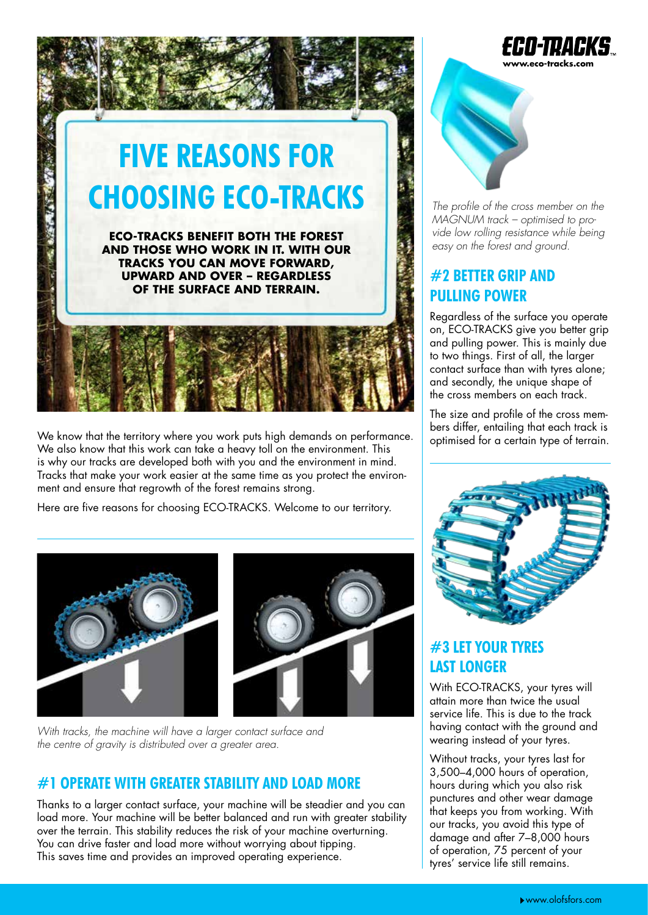

We know that the territory where you work puts high demands on performance.<br>We also know that this work can take a heavy toll on the environment. This is why our tracks are developed both with you and the environment in mind. Tracks that make your work easier at the same time as you protect the environment and ensure that regrowth of the forest remains strong.

Here are five reasons for choosing ECO-TRACKS. Welcome to our territory.



*With tracks, the machine will have a larger contact surface and the centre of gravity is distributed over a greater area.*

# **#1 OPERATE WITH GREATER STABILITY AND LOAD MORE**

Thanks to a larger contact surface, your machine will be steadier and you can load more. Your machine will be better balanced and run with greater stability over the terrain. This stability reduces the risk of your machine overturning. You can drive faster and load more without worrying about tipping. This saves time and provides an improved operating experience.





*The profile of the cross member on the MAGNUM track – optimised to provide low rolling resistance while being* 

## **#2 BETTER GRIP AND PULLING POWER**

Regardless of the surface you operate on, ECO-TRACKS give you better grip and pulling power. This is mainly due to two things. First of all, the larger contact surface than with tyres alone; and secondly, the unique shape of the cross members on each track.

The size and profile of the cross mem-



## **#3 LET YOUR TYRES LAST LONGER**

With ECO-TRACKS, your tyres will attain more than twice the usual service life. This is due to the track having contact with the ground and wearing instead of your tyres.

Without tracks, your tyres last for 3,500–4,000 hours of operation, hours during which you also risk punctures and other wear damage that keeps you from working. With our tracks, you avoid this type of damage and after 7–8,000 hours of operation, 75 percent of your tyres' service life still remains.